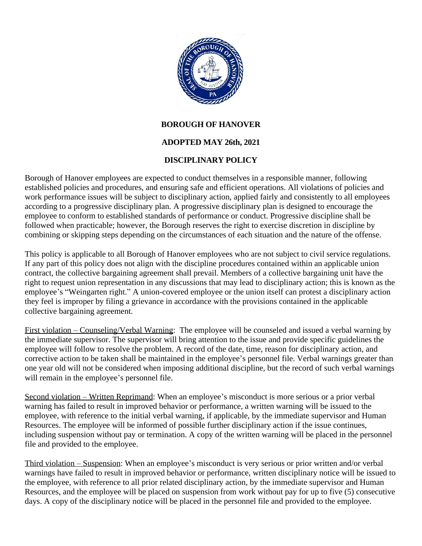

## **BOROUGH OF HANOVER**

## **ADOPTED MAY 26th, 2021**

## **DISCIPLINARY POLICY**

Borough of Hanover employees are expected to conduct themselves in a responsible manner, following established policies and procedures, and ensuring safe and efficient operations. All violations of policies and work performance issues will be subject to disciplinary action, applied fairly and consistently to all employees according to a progressive disciplinary plan. A progressive disciplinary plan is designed to encourage the employee to conform to established standards of performance or conduct. Progressive discipline shall be followed when practicable; however, the Borough reserves the right to exercise discretion in discipline by combining or skipping steps depending on the circumstances of each situation and the nature of the offense.

This policy is applicable to all Borough of Hanover employees who are not subject to civil service regulations. If any part of this policy does not align with the discipline procedures contained within an applicable union contract, the collective bargaining agreement shall prevail. Members of a collective bargaining unit have the right to request union representation in any discussions that may lead to disciplinary action; this is known as the employee's "Weingarten right." A union-covered employee or the union itself can protest a disciplinary action they feel is improper by filing a grievance in accordance with the provisions contained in the applicable collective bargaining agreement.

First violation – Counseling/Verbal Warning: The employee will be counseled and issued a verbal warning by the immediate supervisor. The supervisor will bring attention to the issue and provide specific guidelines the employee will follow to resolve the problem. A record of the date, time, reason for disciplinary action, and corrective action to be taken shall be maintained in the employee's personnel file. Verbal warnings greater than one year old will not be considered when imposing additional discipline, but the record of such verbal warnings will remain in the employee's personnel file.

Second violation – Written Reprimand: When an employee's misconduct is more serious or a prior verbal warning has failed to result in improved behavior or performance, a written warning will be issued to the employee, with reference to the initial verbal warning, if applicable, by the immediate supervisor and Human Resources. The employee will be informed of possible further disciplinary action if the issue continues, including suspension without pay or termination. A copy of the written warning will be placed in the personnel file and provided to the employee.

Third violation – Suspension: When an employee's misconduct is very serious or prior written and/or verbal warnings have failed to result in improved behavior or performance, written disciplinary notice will be issued to the employee, with reference to all prior related disciplinary action, by the immediate supervisor and Human Resources, and the employee will be placed on suspension from work without pay for up to five (5) consecutive days. A copy of the disciplinary notice will be placed in the personnel file and provided to the employee.